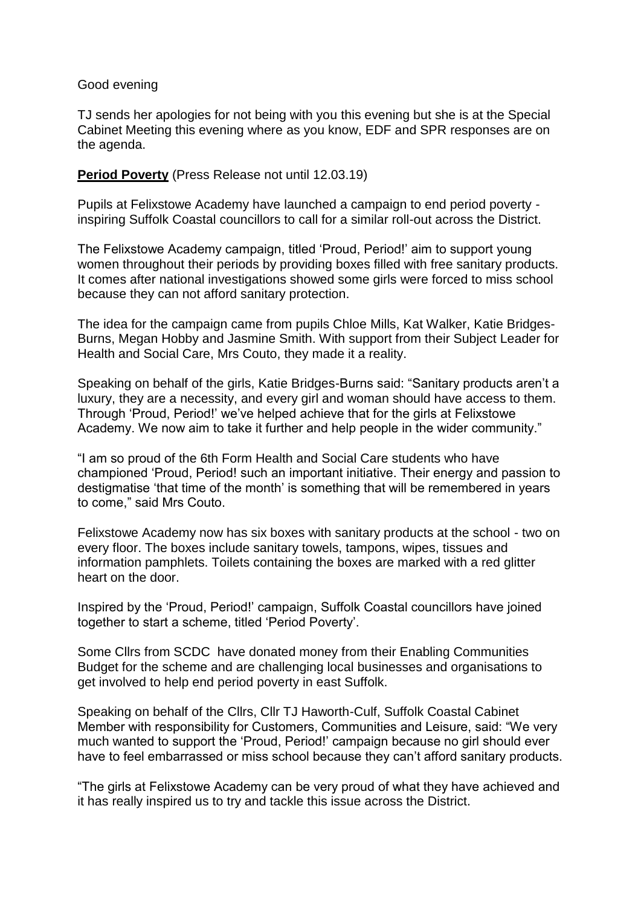#### Good evening

TJ sends her apologies for not being with you this evening but she is at the Special Cabinet Meeting this evening where as you know, EDF and SPR responses are on the agenda.

## **Period Poverty** (Press Release not until 12.03.19)

Pupils at Felixstowe Academy have launched a campaign to end period poverty inspiring Suffolk Coastal councillors to call for a similar roll-out across the District.

The Felixstowe Academy campaign, titled 'Proud, Period!' aim to support young women throughout their periods by providing boxes filled with free sanitary products. It comes after national investigations showed some girls were forced to miss school because they can not afford sanitary protection.

The idea for the campaign came from pupils Chloe Mills, Kat Walker, Katie Bridges-Burns, Megan Hobby and Jasmine Smith. With support from their Subject Leader for Health and Social Care, Mrs Couto, they made it a reality.

Speaking on behalf of the girls, Katie Bridges-Burns said: "Sanitary products aren't a luxury, they are a necessity, and every girl and woman should have access to them. Through 'Proud, Period!' we've helped achieve that for the girls at Felixstowe Academy. We now aim to take it further and help people in the wider community."

"I am so proud of the 6th Form Health and Social Care students who have championed 'Proud, Period! such an important initiative. Their energy and passion to destigmatise 'that time of the month' is something that will be remembered in years to come," said Mrs Couto.

Felixstowe Academy now has six boxes with sanitary products at the school - two on every floor. The boxes include sanitary towels, tampons, wipes, tissues and information pamphlets. Toilets containing the boxes are marked with a red glitter heart on the door.

Inspired by the 'Proud, Period!' campaign, Suffolk Coastal councillors have joined together to start a scheme, titled 'Period Poverty'.

Some Cllrs from SCDC have donated money from their Enabling Communities Budget for the scheme and are challenging local businesses and organisations to get involved to help end period poverty in east Suffolk.

Speaking on behalf of the Cllrs, Cllr TJ Haworth-Culf, Suffolk Coastal Cabinet Member with responsibility for Customers, Communities and Leisure, said: "We very much wanted to support the 'Proud, Period!' campaign because no girl should ever have to feel embarrassed or miss school because they can't afford sanitary products.

"The girls at Felixstowe Academy can be very proud of what they have achieved and it has really inspired us to try and tackle this issue across the District.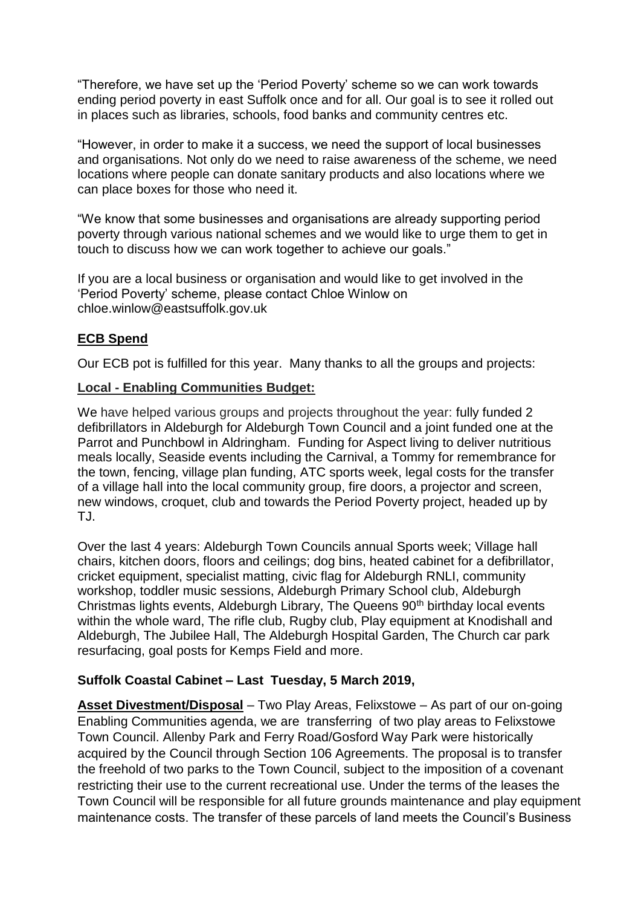"Therefore, we have set up the 'Period Poverty' scheme so we can work towards ending period poverty in east Suffolk once and for all. Our goal is to see it rolled out in places such as libraries, schools, food banks and community centres etc.

"However, in order to make it a success, we need the support of local businesses and organisations. Not only do we need to raise awareness of the scheme, we need locations where people can donate sanitary products and also locations where we can place boxes for those who need it.

"We know that some businesses and organisations are already supporting period poverty through various national schemes and we would like to urge them to get in touch to discuss how we can work together to achieve our goals."

If you are a local business or organisation and would like to get involved in the 'Period Poverty' scheme, please contact Chloe Winlow on chloe.winlow@eastsuffolk.gov.uk

# **ECB Spend**

Our ECB pot is fulfilled for this year. Many thanks to all the groups and projects:

### **Local - Enabling Communities Budget:**

We have helped various groups and projects throughout the year: fully funded 2 defibrillators in Aldeburgh for Aldeburgh Town Council and a joint funded one at the Parrot and Punchbowl in Aldringham. Funding for Aspect living to deliver nutritious meals locally, Seaside events including the Carnival, a Tommy for remembrance for the town, fencing, village plan funding, ATC sports week, legal costs for the transfer of a village hall into the local community group, fire doors, a projector and screen, new windows, croquet, club and towards the Period Poverty project, headed up by TJ.

Over the last 4 years: Aldeburgh Town Councils annual Sports week; Village hall chairs, kitchen doors, floors and ceilings; dog bins, heated cabinet for a defibrillator, cricket equipment, specialist matting, civic flag for Aldeburgh RNLI, community workshop, toddler music sessions, Aldeburgh Primary School club, Aldeburgh Christmas lights events, Aldeburgh Library, The Queens  $90<sup>th</sup>$  birthday local events within the whole ward, The rifle club, Rugby club, Play equipment at Knodishall and Aldeburgh, The Jubilee Hall, The Aldeburgh Hospital Garden, The Church car park resurfacing, goal posts for Kemps Field and more.

## **Suffolk Coastal Cabinet – Last Tuesday, 5 March 2019,**

**Asset Divestment/Disposal** – Two Play Areas, Felixstowe – As part of our on-going Enabling Communities agenda, we are transferring of two play areas to Felixstowe Town Council. Allenby Park and Ferry Road/Gosford Way Park were historically acquired by the Council through Section 106 Agreements. The proposal is to transfer the freehold of two parks to the Town Council, subject to the imposition of a covenant restricting their use to the current recreational use. Under the terms of the leases the Town Council will be responsible for all future grounds maintenance and play equipment maintenance costs. The transfer of these parcels of land meets the Council's Business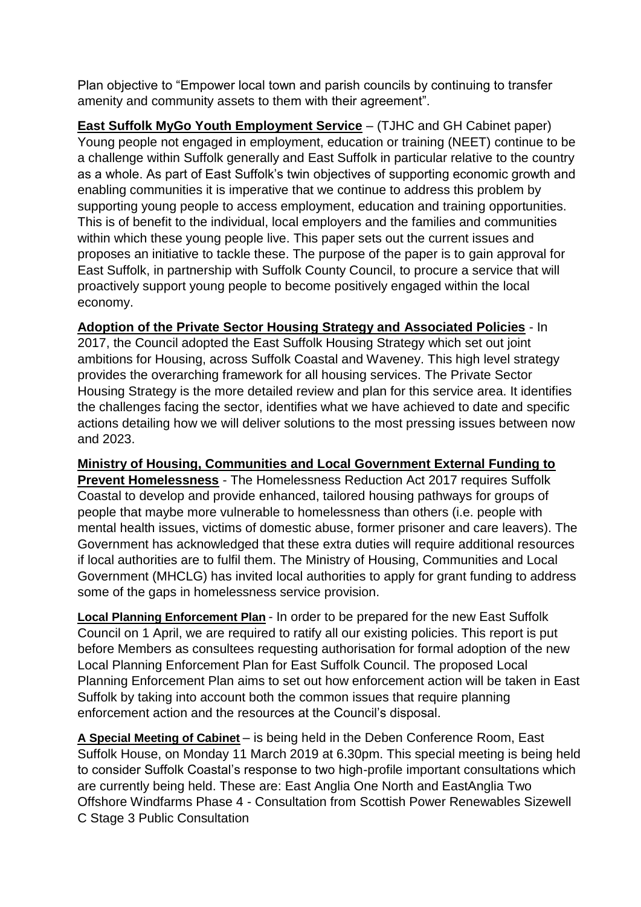Plan objective to "Empower local town and parish councils by continuing to transfer amenity and community assets to them with their agreement".

**East Suffolk MyGo Youth Employment Service** – (TJHC and GH Cabinet paper) Young people not engaged in employment, education or training (NEET) continue to be a challenge within Suffolk generally and East Suffolk in particular relative to the country as a whole. As part of East Suffolk's twin objectives of supporting economic growth and enabling communities it is imperative that we continue to address this problem by supporting young people to access employment, education and training opportunities. This is of benefit to the individual, local employers and the families and communities within which these young people live. This paper sets out the current issues and proposes an initiative to tackle these. The purpose of the paper is to gain approval for East Suffolk, in partnership with Suffolk County Council, to procure a service that will proactively support young people to become positively engaged within the local economy.

**Adoption of the Private Sector Housing Strategy and Associated Policies** - In 2017, the Council adopted the East Suffolk Housing Strategy which set out joint ambitions for Housing, across Suffolk Coastal and Waveney. This high level strategy provides the overarching framework for all housing services. The Private Sector Housing Strategy is the more detailed review and plan for this service area. It identifies the challenges facing the sector, identifies what we have achieved to date and specific actions detailing how we will deliver solutions to the most pressing issues between now and 2023.

**Ministry of Housing, Communities and Local Government External Funding to Prevent Homelessness** - The Homelessness Reduction Act 2017 requires Suffolk Coastal to develop and provide enhanced, tailored housing pathways for groups of people that maybe more vulnerable to homelessness than others (i.e. people with mental health issues, victims of domestic abuse, former prisoner and care leavers). The Government has acknowledged that these extra duties will require additional resources if local authorities are to fulfil them. The Ministry of Housing, Communities and Local Government (MHCLG) has invited local authorities to apply for grant funding to address some of the gaps in homelessness service provision.

**Local Planning Enforcement Plan** - In order to be prepared for the new East Suffolk Council on 1 April, we are required to ratify all our existing policies. This report is put before Members as consultees requesting authorisation for formal adoption of the new Local Planning Enforcement Plan for East Suffolk Council. The proposed Local Planning Enforcement Plan aims to set out how enforcement action will be taken in East Suffolk by taking into account both the common issues that require planning enforcement action and the resources at the Council's disposal.

**A Special Meeting of Cabinet** – is being held in the Deben Conference Room, East Suffolk House, on Monday 11 March 2019 at 6.30pm. This special meeting is being held to consider Suffolk Coastal's response to two high-profile important consultations which are currently being held. These are: East Anglia One North and EastAnglia Two Offshore Windfarms Phase 4 - Consultation from Scottish Power Renewables Sizewell C Stage 3 Public Consultation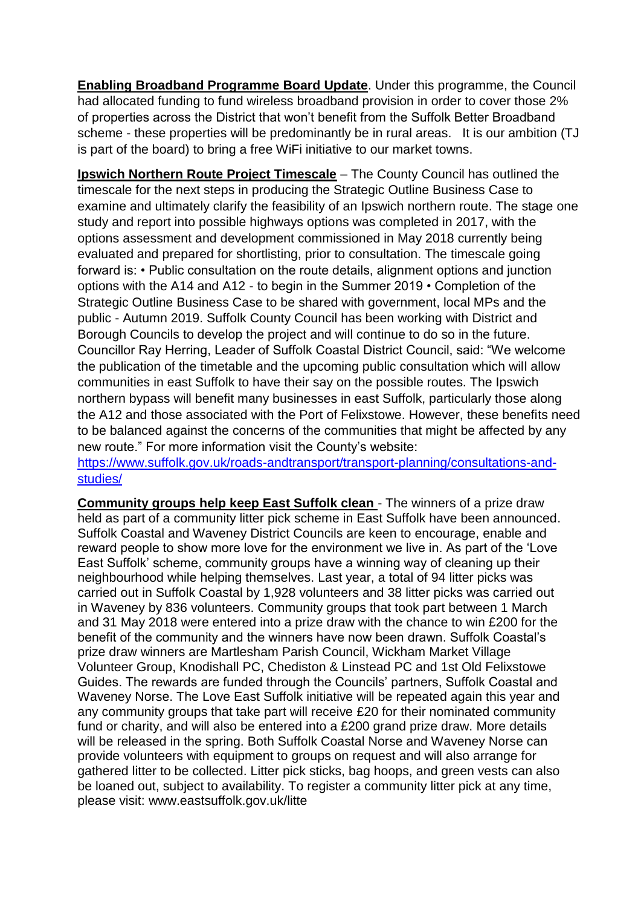**Enabling Broadband Programme Board Update**. Under this programme, the Council had allocated funding to fund wireless broadband provision in order to cover those 2% of properties across the District that won't benefit from the Suffolk Better Broadband scheme - these properties will be predominantly be in rural areas. It is our ambition (TJ is part of the board) to bring a free WiFi initiative to our market towns.

**Ipswich Northern Route Project Timescale** – The County Council has outlined the timescale for the next steps in producing the Strategic Outline Business Case to examine and ultimately clarify the feasibility of an Ipswich northern route. The stage one study and report into possible highways options was completed in 2017, with the options assessment and development commissioned in May 2018 currently being evaluated and prepared for shortlisting, prior to consultation. The timescale going forward is: • Public consultation on the route details, alignment options and junction options with the A14 and A12 - to begin in the Summer 2019 • Completion of the Strategic Outline Business Case to be shared with government, local MPs and the public - Autumn 2019. Suffolk County Council has been working with District and Borough Councils to develop the project and will continue to do so in the future. Councillor Ray Herring, Leader of Suffolk Coastal District Council, said: "We welcome the publication of the timetable and the upcoming public consultation which will allow communities in east Suffolk to have their say on the possible routes. The Ipswich northern bypass will benefit many businesses in east Suffolk, particularly those along the A12 and those associated with the Port of Felixstowe. However, these benefits need to be balanced against the concerns of the communities that might be affected by any new route." For more information visit the County's website:

[https://www.suffolk.gov.uk/roads-andtransport/transport-planning/consultations-and](https://www.suffolk.gov.uk/roads-andtransport/transport-planning/consultations-and-studies/)[studies/](https://www.suffolk.gov.uk/roads-andtransport/transport-planning/consultations-and-studies/)

**Community groups help keep East Suffolk clean** - The winners of a prize draw held as part of a community litter pick scheme in East Suffolk have been announced. Suffolk Coastal and Waveney District Councils are keen to encourage, enable and reward people to show more love for the environment we live in. As part of the 'Love East Suffolk' scheme, community groups have a winning way of cleaning up their neighbourhood while helping themselves. Last year, a total of 94 litter picks was carried out in Suffolk Coastal by 1,928 volunteers and 38 litter picks was carried out in Waveney by 836 volunteers. Community groups that took part between 1 March and 31 May 2018 were entered into a prize draw with the chance to win £200 for the benefit of the community and the winners have now been drawn. Suffolk Coastal's prize draw winners are Martlesham Parish Council, Wickham Market Village Volunteer Group, Knodishall PC, Chediston & Linstead PC and 1st Old Felixstowe Guides. The rewards are funded through the Councils' partners, Suffolk Coastal and Waveney Norse. The Love East Suffolk initiative will be repeated again this year and any community groups that take part will receive £20 for their nominated community fund or charity, and will also be entered into a £200 grand prize draw. More details will be released in the spring. Both Suffolk Coastal Norse and Waveney Norse can provide volunteers with equipment to groups on request and will also arrange for gathered litter to be collected. Litter pick sticks, bag hoops, and green vests can also be loaned out, subject to availability. To register a community litter pick at any time, please visit: www.eastsuffolk.gov.uk/litte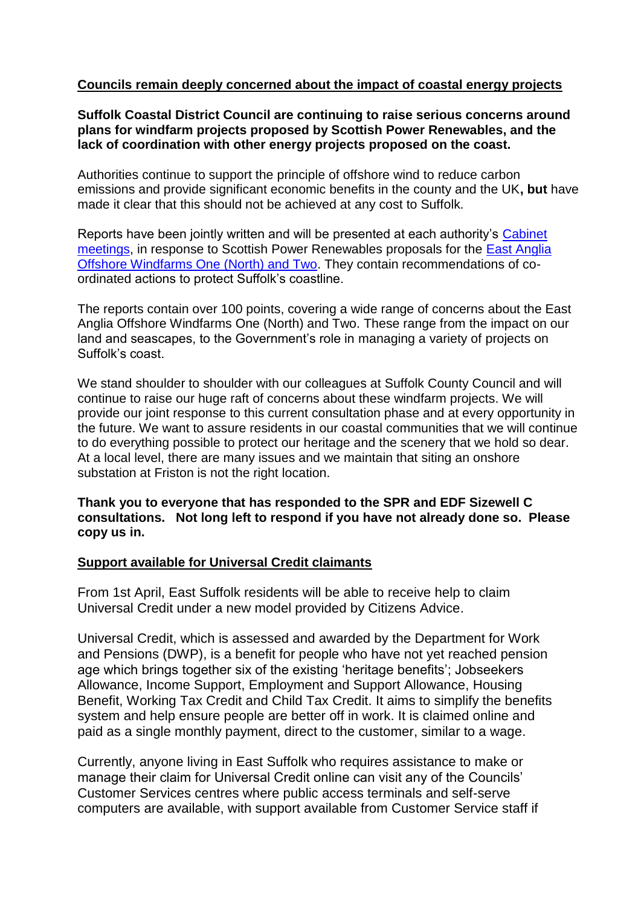## **Councils remain deeply concerned about the impact of coastal energy projects**

**Suffolk Coastal District Council are continuing to raise serious concerns around plans for windfarm projects proposed by Scottish Power Renewables, and the lack of coordination with other energy projects proposed on the coast.**

Authorities continue to support the principle of offshore wind to reduce carbon emissions and provide significant economic benefits in the county and the UK**, but** have made it clear that this should not be achieved at any cost to Suffolk.

Reports have been jointly written and will be presented at each authority's [Cabinet](http://apps.eastsuffolk.gov.uk/committeeminutes/showagenda.asp?id=23397)  [meetings,](http://apps.eastsuffolk.gov.uk/committeeminutes/showagenda.asp?id=23397) in response to Scottish Power Renewables proposals for the [East Anglia](https://www.eastsuffolk.gov.uk/planning/offshore-windfarms/)  [Offshore Windfarms One \(North\) and Two.](https://www.eastsuffolk.gov.uk/planning/offshore-windfarms/) They contain recommendations of coordinated actions to protect Suffolk's coastline.

The reports contain over 100 points, covering a wide range of concerns about the East Anglia Offshore Windfarms One (North) and Two. These range from the impact on our land and seascapes, to the Government's role in managing a variety of projects on Suffolk's coast.

We stand shoulder to shoulder with our colleagues at Suffolk County Council and will continue to raise our huge raft of concerns about these windfarm projects. We will provide our joint response to this current consultation phase and at every opportunity in the future. We want to assure residents in our coastal communities that we will continue to do everything possible to protect our heritage and the scenery that we hold so dear. At a local level, there are many issues and we maintain that siting an onshore substation at Friston is not the right location.

**Thank you to everyone that has responded to the SPR and EDF Sizewell C consultations. Not long left to respond if you have not already done so. Please copy us in.**

### **Support available for Universal Credit claimants**

From 1st April, East Suffolk residents will be able to receive help to claim Universal Credit under a new model provided by Citizens Advice.

Universal Credit, which is assessed and awarded by the Department for Work and Pensions (DWP), is a benefit for people who have not yet reached pension age which brings together six of the existing 'heritage benefits'; Jobseekers Allowance, Income Support, Employment and Support Allowance, Housing Benefit, Working Tax Credit and Child Tax Credit. It aims to simplify the benefits system and help ensure people are better off in work. It is claimed online and paid as a single monthly payment, direct to the customer, similar to a wage.

Currently, anyone living in East Suffolk who requires assistance to make or manage their claim for Universal Credit online can visit any of the Councils' Customer Services centres where public access terminals and self-serve computers are available, with support available from Customer Service staff if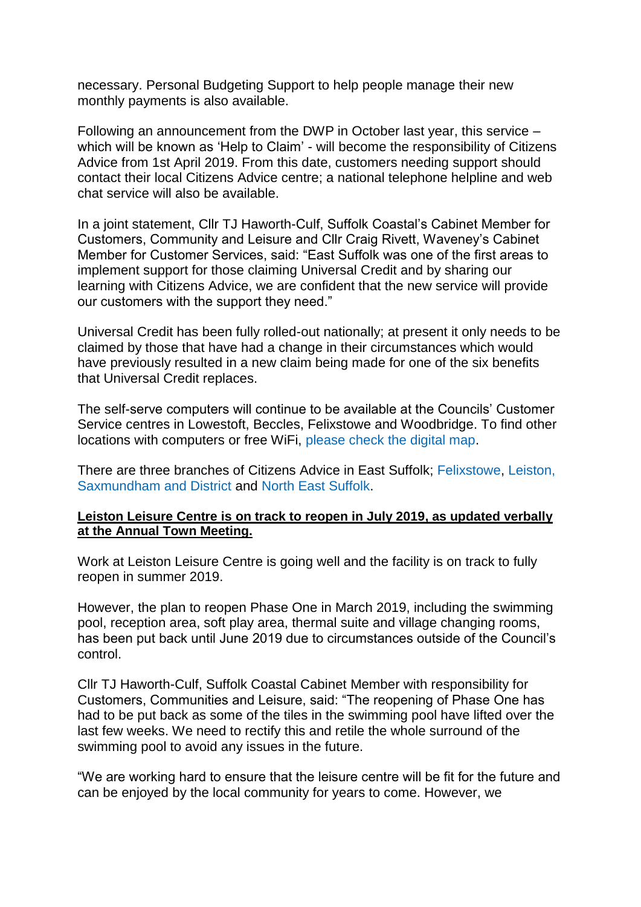necessary. Personal Budgeting Support to help people manage their new monthly payments is also available.

Following an announcement from the DWP in October last year, this service – which will be known as 'Help to Claim' - will become the responsibility of Citizens Advice from 1st April 2019. From this date, customers needing support should contact their local Citizens Advice centre; a national telephone helpline and web chat service will also be available.

In a joint statement, Cllr TJ Haworth-Culf, Suffolk Coastal's Cabinet Member for Customers, Community and Leisure and Cllr Craig Rivett, Waveney's Cabinet Member for Customer Services, said: "East Suffolk was one of the first areas to implement support for those claiming Universal Credit and by sharing our learning with Citizens Advice, we are confident that the new service will provide our customers with the support they need."

Universal Credit has been fully rolled-out nationally; at present it only needs to be claimed by those that have had a change in their circumstances which would have previously resulted in a new claim being made for one of the six benefits that Universal Credit replaces.

The self-serve computers will continue to be available at the Councils' Customer Service centres in Lowestoft, Beccles, Felixstowe and Woodbridge. To find other locations with computers or free WiFi, [please check the digital map.](https://www.eastsuffolk.gov.uk/community/digital-map-for-east-suffolk/)

There are three branches of Citizens Advice in East Suffolk; [Felixstowe,](http://www.felixstowecab.org.uk/) [Leiston,](http://oaweb.co.uk/)  [Saxmundham and District](http://oaweb.co.uk/) and [North East Suffolk.](http://nesuffolkcab.org.uk/)

### **Leiston Leisure Centre is on track to reopen in July 2019, as updated verbally at the Annual Town Meeting.**

Work at Leiston Leisure Centre is going well and the facility is on track to fully reopen in summer 2019.

However, the plan to reopen Phase One in March 2019, including the swimming pool, reception area, soft play area, thermal suite and village changing rooms, has been put back until June 2019 due to circumstances outside of the Council's control.

Cllr TJ Haworth-Culf, Suffolk Coastal Cabinet Member with responsibility for Customers, Communities and Leisure, said: "The reopening of Phase One has had to be put back as some of the tiles in the swimming pool have lifted over the last few weeks. We need to rectify this and retile the whole surround of the swimming pool to avoid any issues in the future.

"We are working hard to ensure that the leisure centre will be fit for the future and can be enjoyed by the local community for years to come. However, we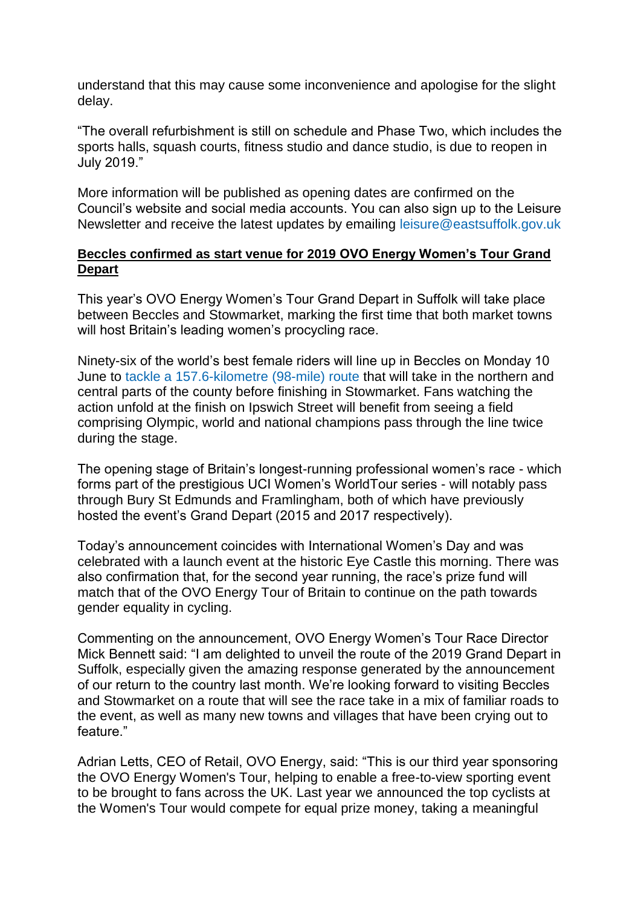understand that this may cause some inconvenience and apologise for the slight delay.

"The overall refurbishment is still on schedule and Phase Two, which includes the sports halls, squash courts, fitness studio and dance studio, is due to reopen in July 2019."

More information will be published as opening dates are confirmed on the Council's website and social media accounts. You can also sign up to the Leisure Newsletter and receive the latest updates by emailing [leisure@eastsuffolk.gov.uk](mailto:leisure@eastsuffolk.gov.uk)

## **Beccles confirmed as start venue for 2019 OVO Energy Women's Tour Grand Depart**

This year's OVO Energy Women's Tour Grand Depart in Suffolk will take place between Beccles and Stowmarket, marking the first time that both market towns will host Britain's leading women's procycling race.

Ninety-six of the world's best female riders will line up in Beccles on Monday 10 June to [tackle a 157.6-kilometre \(98-mile\) route](https://www.womenstour.co.uk/stages/stage-1/) that will take in the northern and central parts of the county before finishing in Stowmarket. Fans watching the action unfold at the finish on Ipswich Street will benefit from seeing a field comprising Olympic, world and national champions pass through the line twice during the stage.

The opening stage of Britain's longest-running professional women's race - which forms part of the prestigious UCI Women's WorldTour series - will notably pass through Bury St Edmunds and Framlingham, both of which have previously hosted the event's Grand Depart (2015 and 2017 respectively).

Today's announcement coincides with International Women's Day and was celebrated with a launch event at the historic Eye Castle this morning. There was also confirmation that, for the second year running, the race's prize fund will match that of the OVO Energy Tour of Britain to continue on the path towards gender equality in cycling.

Commenting on the announcement, OVO Energy Women's Tour Race Director Mick Bennett said: "I am delighted to unveil the route of the 2019 Grand Depart in Suffolk, especially given the amazing response generated by the announcement of our return to the country last month. We're looking forward to visiting Beccles and Stowmarket on a route that will see the race take in a mix of familiar roads to the event, as well as many new towns and villages that have been crying out to feature."

Adrian Letts, CEO of Retail, OVO Energy, said: "This is our third year sponsoring the OVO Energy Women's Tour, helping to enable a free-to-view sporting event to be brought to fans across the UK. Last year we announced the top cyclists at the Women's Tour would compete for equal prize money, taking a meaningful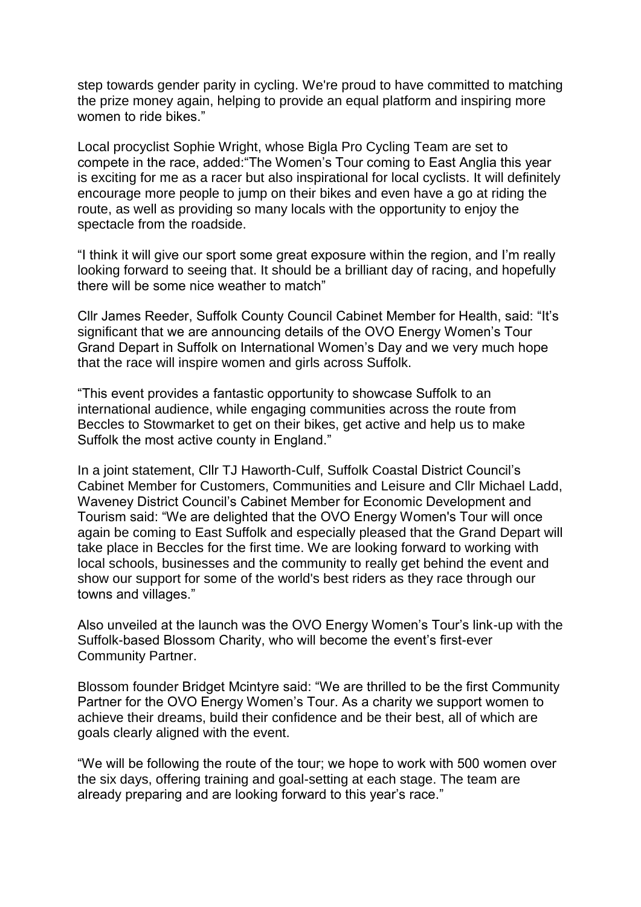step towards gender parity in cycling. We're proud to have committed to matching the prize money again, helping to provide an equal platform and inspiring more women to ride bikes."

Local procyclist Sophie Wright, whose Bigla Pro Cycling Team are set to compete in the race, added:"The Women's Tour coming to East Anglia this year is exciting for me as a racer but also inspirational for local cyclists. It will definitely encourage more people to jump on their bikes and even have a go at riding the route, as well as providing so many locals with the opportunity to enjoy the spectacle from the roadside.

"I think it will give our sport some great exposure within the region, and I'm really looking forward to seeing that. It should be a brilliant day of racing, and hopefully there will be some nice weather to match"

Cllr James Reeder, Suffolk County Council Cabinet Member for Health, said: "It's significant that we are announcing details of the OVO Energy Women's Tour Grand Depart in Suffolk on International Women's Day and we very much hope that the race will inspire women and girls across Suffolk.

"This event provides a fantastic opportunity to showcase Suffolk to an international audience, while engaging communities across the route from Beccles to Stowmarket to get on their bikes, get active and help us to make Suffolk the most active county in England."

In a joint statement, Cllr TJ Haworth-Culf, Suffolk Coastal District Council's Cabinet Member for Customers, Communities and Leisure and Cllr Michael Ladd, Waveney District Council's Cabinet Member for Economic Development and Tourism said: "We are delighted that the OVO Energy Women's Tour will once again be coming to East Suffolk and especially pleased that the Grand Depart will take place in Beccles for the first time. We are looking forward to working with local schools, businesses and the community to really get behind the event and show our support for some of the world's best riders as they race through our towns and villages."

Also unveiled at the launch was the OVO Energy Women's Tour's link-up with the Suffolk-based Blossom Charity, who will become the event's first-ever Community Partner.

Blossom founder Bridget Mcintyre said: "We are thrilled to be the first Community Partner for the OVO Energy Women's Tour. As a charity we support women to achieve their dreams, build their confidence and be their best, all of which are goals clearly aligned with the event.

"We will be following the route of the tour; we hope to work with 500 women over the six days, offering training and goal-setting at each stage. The team are already preparing and are looking forward to this year's race."